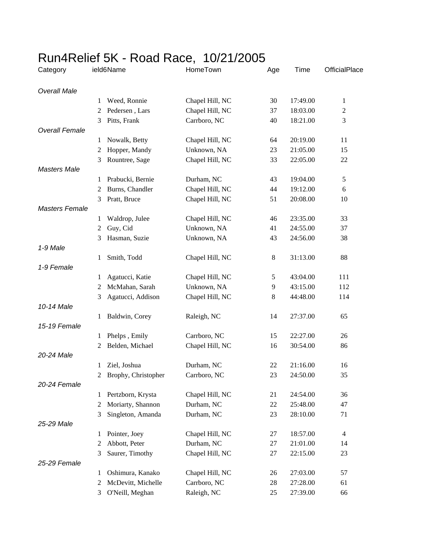## Run4Relief 5K - Road Race, 10/21/2005

| Category              |                | ield6Name           | HomeTown        | Age    | Time     | OfficialPlace  |
|-----------------------|----------------|---------------------|-----------------|--------|----------|----------------|
| <b>Overall Male</b>   |                |                     |                 |        |          |                |
|                       | 1              | Weed, Ronnie        | Chapel Hill, NC | 30     | 17:49.00 | $\mathbf{1}$   |
|                       | 2              | Pedersen, Lars      | Chapel Hill, NC | 37     | 18:03.00 | $\overline{c}$ |
|                       | 3              | Pitts, Frank        | Carrboro, NC    | 40     | 18:21.00 | 3              |
| <b>Overall Female</b> |                |                     |                 |        |          |                |
|                       | 1              | Nowalk, Betty       | Chapel Hill, NC | 64     | 20:19.00 | 11             |
|                       | 2              | Hopper, Mandy       | Unknown, NA     | 23     | 21:05.00 | 15             |
|                       | 3              | Rountree, Sage      | Chapel Hill, NC | 33     | 22:05.00 | 22             |
| <b>Masters Male</b>   |                |                     |                 |        |          |                |
|                       | 1              | Prabucki, Bernie    | Durham, NC      | 43     | 19:04.00 | $\sqrt{5}$     |
|                       | 2              | Burns, Chandler     | Chapel Hill, NC | 44     | 19:12.00 | 6              |
|                       | 3              | Pratt, Bruce        | Chapel Hill, NC | 51     | 20:08.00 | 10             |
| <b>Masters Female</b> |                |                     |                 |        |          |                |
|                       | 1              | Waldrop, Julee      | Chapel Hill, NC | 46     | 23:35.00 | 33             |
|                       | $\overline{c}$ | Guy, Cid            | Unknown, NA     | 41     | 24:55.00 | 37             |
| 1-9 Male              | 3              | Hasman, Suzie       | Unknown, NA     | 43     | 24:56.00 | 38             |
|                       | 1              | Smith, Todd         | Chapel Hill, NC | 8      | 31:13.00 | 88             |
| 1-9 Female            |                |                     |                 |        |          |                |
|                       | 1              | Agatucci, Katie     | Chapel Hill, NC | 5      | 43:04.00 | 111            |
|                       | 2              | McMahan, Sarah      | Unknown, NA     | 9      | 43:15.00 | 112            |
|                       | 3              | Agatucci, Addison   | Chapel Hill, NC | 8      | 44:48.00 | 114            |
| 10-14 Male            |                |                     |                 |        |          |                |
|                       | $\mathbf{1}$   | Baldwin, Corey      | Raleigh, NC     | 14     | 27:37.00 | 65             |
| 15-19 Female          |                |                     |                 |        |          |                |
|                       | 1              | Phelps, Emily       | Carrboro, NC    | 15     | 22:27.00 | 26             |
|                       | 2              | Belden, Michael     | Chapel Hill, NC | 16     | 30:54.00 | 86             |
| 20-24 Male            |                |                     |                 |        |          |                |
|                       | 1              | Ziel, Joshua        | Durham, NC      | 22     | 21:16.00 | 16             |
|                       | $\mathbf{2}$   | Brophy, Christopher | Carrboro, NC    | 23     | 24:50.00 | 35             |
| 20-24 Female          |                |                     |                 |        |          |                |
|                       | 1              | Pertzborn, Krysta   | Chapel Hill, NC | 21     | 24:54.00 | 36             |
|                       | $\overline{c}$ | Moriarty, Shannon   | Durham, NC      | 22     | 25:48.00 | 47             |
|                       | 3              | Singleton, Amanda   | Durham, NC      | 23     | 28:10.00 | 71             |
| 25-29 Male            |                |                     |                 |        |          |                |
|                       | 1              | Pointer, Joey       | Chapel Hill, NC | 27     | 18:57.00 | $\overline{4}$ |
|                       | 2              | Abbott, Peter       | Durham, NC      | 27     | 21:01.00 | 14             |
|                       | 3              | Saurer, Timothy     | Chapel Hill, NC | $27\,$ | 22:15.00 | 23             |
| 25-29 Female          |                |                     |                 |        |          |                |
|                       | 1              | Oshimura, Kanako    | Chapel Hill, NC | 26     | 27:03.00 | 57             |
|                       | 2              | McDevitt, Michelle  | Carrboro, NC    | 28     | 27:28.00 | 61             |
|                       | 3              | O'Neill, Meghan     | Raleigh, NC     | 25     | 27:39.00 | 66             |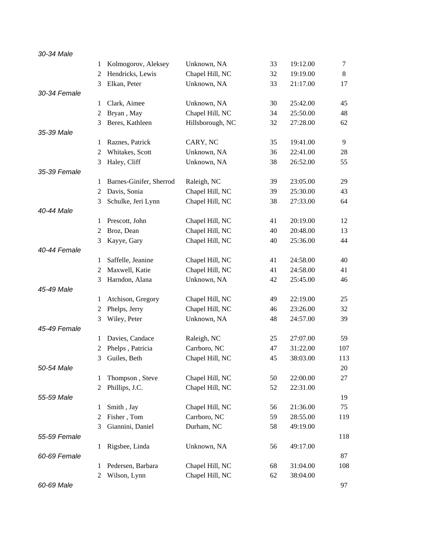| 30-34 Male   |                |                         |                  |    |          |         |
|--------------|----------------|-------------------------|------------------|----|----------|---------|
|              | 1              | Kolmogorov, Aleksey     | Unknown, NA      | 33 | 19:12.00 | 7       |
|              | 2              | Hendricks, Lewis        | Chapel Hill, NC  | 32 | 19:19.00 | $\,8\,$ |
|              | 3              | Elkan, Peter            | Unknown, NA      | 33 | 21:17.00 | 17      |
| 30-34 Female |                |                         |                  |    |          |         |
|              | 1              | Clark, Aimee            | Unknown, NA      | 30 | 25:42.00 | 45      |
|              | 2              | Bryan, May              | Chapel Hill, NC  | 34 | 25:50.00 | 48      |
|              | 3              | Beres, Kathleen         | Hillsborough, NC | 32 | 27:28.00 | 62      |
| 35-39 Male   |                |                         |                  |    |          |         |
|              | 1              | Raznes, Patrick         | CARY, NC         | 35 | 19:41.00 | 9       |
|              | $\overline{c}$ | Whitakes, Scott         | Unknown, NA      | 36 | 22:41.00 | 28      |
|              | 3              | Haley, Cliff            | Unknown, NA      | 38 | 26:52.00 | 55      |
| 35-39 Female |                |                         |                  |    |          |         |
|              | 1              | Barnes-Ginifer, Sherrod | Raleigh, NC      | 39 | 23:05.00 | 29      |
|              | 2              | Davis, Sonia            | Chapel Hill, NC  | 39 | 25:30.00 | 43      |
|              | 3              | Schulke, Jeri Lynn      | Chapel Hill, NC  | 38 | 27:33.00 | 64      |
| 40-44 Male   |                |                         |                  |    |          |         |
|              | 1              | Prescott, John          | Chapel Hill, NC  | 41 | 20:19.00 | 12      |
|              | $\overline{2}$ | Broz, Dean              | Chapel Hill, NC  | 40 | 20:48.00 | 13      |
|              | 3              | Kayye, Gary             | Chapel Hill, NC  | 40 | 25:36.00 | 44      |
| 40-44 Female |                |                         |                  |    |          |         |
|              | 1              | Saffelle, Jeanine       | Chapel Hill, NC  | 41 | 24:58.00 | 40      |
|              | $\overline{2}$ | Maxwell, Katie          | Chapel Hill, NC  | 41 | 24:58.00 | 41      |
|              | 3              | Harndon, Alana          | Unknown, NA      | 42 | 25:45.00 | 46      |
| 45-49 Male   |                |                         |                  |    |          |         |
|              | 1              | Atchison, Gregory       | Chapel Hill, NC  | 49 | 22:19.00 | 25      |
|              | 2              | Phelps, Jerry           | Chapel Hill, NC  | 46 | 23:26.00 | 32      |
|              | 3              | Wiley, Peter            | Unknown, NA      | 48 | 24:57.00 | 39      |
| 45-49 Female |                |                         |                  |    |          |         |
|              | 1              | Davies, Candace         | Raleigh, NC      | 25 | 27:07.00 | 59      |
|              | 2              | Phelps, Patricia        | Carrboro, NC     | 47 | 31:22.00 | 107     |
|              | 3              | Guiles, Beth            | Chapel Hill, NC  | 45 | 38:03.00 | 113     |
| 50-54 Male   |                |                         |                  |    |          | 20      |
|              | 1              | Thompson, Steve         | Chapel Hill, NC  | 50 | 22:00.00 | 27      |
|              | $\overline{2}$ | Phillips, J.C.          | Chapel Hill, NC  | 52 | 22:31.00 |         |
| 55-59 Male   |                |                         |                  |    |          | 19      |
|              | 1              | Smith, Jay              | Chapel Hill, NC  | 56 | 21:36.00 | 75      |
|              | 2              | Fisher, Tom             | Carrboro, NC     | 59 | 28:55.00 | 119     |
|              | 3              | Giannini, Daniel        | Durham, NC       | 58 | 49:19.00 |         |
| 55-59 Female |                |                         |                  |    |          | 118     |
|              | $\mathbf{1}$   | Rigsbee, Linda          | Unknown, NA      | 56 | 49:17.00 |         |
| 60-69 Female |                |                         |                  |    |          | 87      |
|              | 1              | Pedersen, Barbara       | Chapel Hill, NC  | 68 | 31:04.00 | 108     |
|              | 2              | Wilson, Lynn            | Chapel Hill, NC  | 62 | 38:04.00 |         |
| 60-69 Male   |                |                         |                  |    |          | 97      |